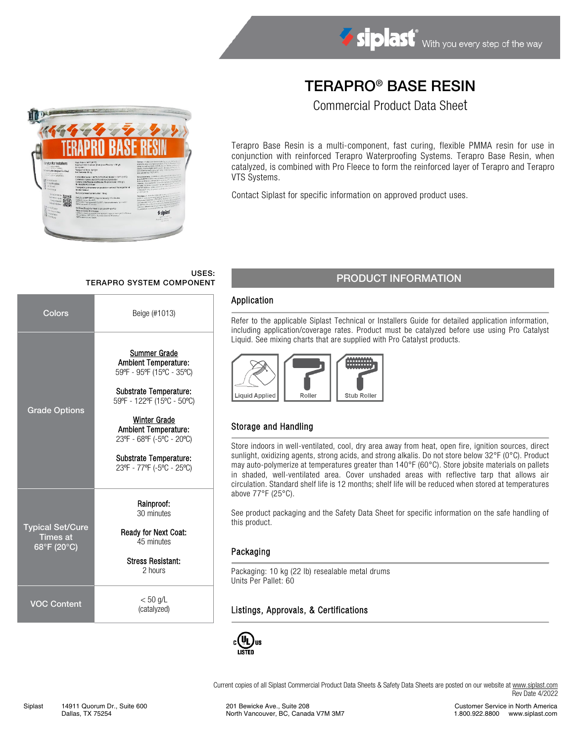# TERAPRO® BASE RESIN

Commercial Product Data Sheet



Contact Siplast for specific information on approved product uses.

#### USES: USES:<br>TERAPRO SYSTEM COMPONENT PRODUCT INFORMATION

*§* siplast

| Colors                                                    | Beige (#1013)                                                                                                                                                                                                                                                              |
|-----------------------------------------------------------|----------------------------------------------------------------------------------------------------------------------------------------------------------------------------------------------------------------------------------------------------------------------------|
| <b>Grade Options</b>                                      | Summer Grade<br><b>Ambient Temperature:</b><br>59°F - 95°F (15°C - 35°C)<br>Substrate Temperature:<br>59°F - 122°F (15°C - 50°C)<br><b>Winter Grade</b><br>Ambient Temperature:<br>23°F - 68°F (-5°C - 20°C)<br><b>Substrate Temperature:</b><br>23ºF - 77ºF (-5°C - 25°C) |
| <b>Typical Set/Cure</b><br><b>Times at</b><br>68°F (20°C) | Rainproof:<br>30 minutes<br><b>Ready for Next Coat:</b><br>45 minutes<br><b>Stress Resistant:</b><br>2 hours                                                                                                                                                               |
| <b>VOC Content</b>                                        | $< 50$ g/L<br>(catalyzed)                                                                                                                                                                                                                                                  |

### Application

Refer to the applicable Siplast Technical or Installers Guide for detailed application information, including application/coverage rates. Product must be catalyzed before use using Pro Catalyst Liquid. See mixing charts that are supplied with Pro Catalyst products.



# Storage and Handling

Store indoors in well-ventilated, cool, dry area away from heat, open fire, ignition sources, direct sunlight, oxidizing agents, strong acids, and strong alkalis. Do not store below 32°F (0°C). Product may auto-polymerize at temperatures greater than 140°F (60°C). Store jobsite materials on pallets in shaded, well-ventilated area. Cover unshaded areas with reflective tarp that allows air circulation. Standard shelf life is 12 months; shelf life will be reduced when stored at temperatures above 77°F (25°C).

See product packaging and the Safety Data Sheet for specific information on the safe handling of this product.

### Packaging

Packaging: 10 kg (22 lb) resealable metal drums Units Per Pallet: 60

# Listings, Approvals, & Certifications



Current copies of all Siplast Commercial Product Data Sheets & Safety Data Sheets are posted on our website a[t www.siplast.com](http://www.siplast.com/) Rev Date 4/2022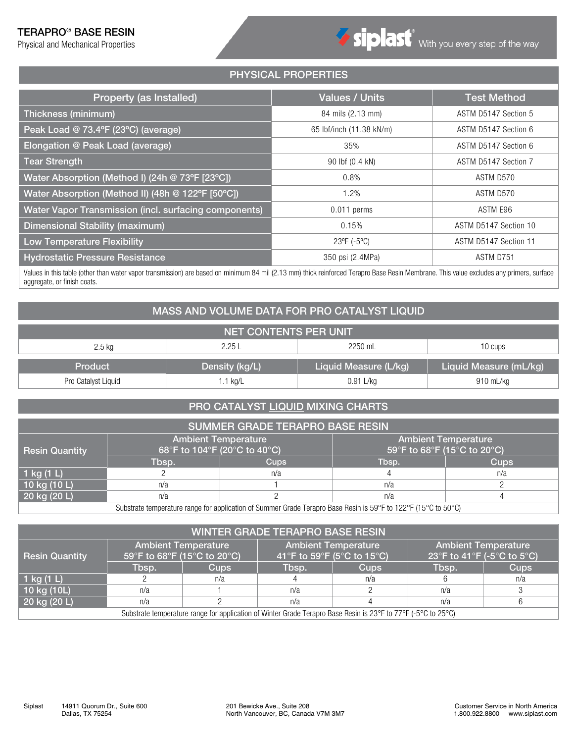# TERAPRO® BASE RESIN

Physical and Mechanical Properties

# PHYSICAL PROPERTIES

| Property (as Installed)                               | <b>Values / Units</b>    | <b>Test Method</b>    |
|-------------------------------------------------------|--------------------------|-----------------------|
| Thickness (minimum)                                   | 84 mils (2.13 mm)        | ASTM D5147 Section 5  |
| Peak Load @ 73.4°F (23°C) (average)                   | 65 lbf/inch (11.38 kN/m) | ASTM D5147 Section 6  |
| Elongation @ Peak Load (average)                      | 35%                      | ASTM D5147 Section 6  |
| <b>Tear Strength</b>                                  | 90 lbf (0.4 kN)          | ASTM D5147 Section 7  |
| Water Absorption (Method I) (24h @ 73°F [23°C])       | 0.8%                     | ASTM D570             |
| Water Absorption (Method II) (48h @ 122°F [50°C])     | 1.2%                     | ASTM D570             |
| Water Vapor Transmission (incl. surfacing components) | $0.011$ perms            | ASTM E96              |
| Dimensional Stability (maximum)                       | 0.15%                    | ASTM D5147 Section 10 |
| <b>Low Temperature Flexibility</b>                    | 23°F (-5°C)              | ASTM D5147 Section 11 |
| <b>Hydrostatic Pressure Resistance</b>                | 350 psi (2.4MPa)         | ASTM D751             |

Values in this table (other than water vapor transmission) are based on minimum 84 mil (2.13 mm) thick reinforced Terapro Base Resin Membrane. This value excludes any primers, surface aggregate, or finish coats.

# MASS AND VOLUME DATA FOR PRO CATALYST LIQUID

| <b>NET CONTENTS PER UNIT</b> |                |                       |                        |  |  |  |  |  |  |  |
|------------------------------|----------------|-----------------------|------------------------|--|--|--|--|--|--|--|
| $2.5$ kg                     | 2.25 L         | 2250 mL               | 10 cups                |  |  |  |  |  |  |  |
| Product                      | Density (kg/L) | Liquid Measure (L/kg) | Liquid Measure (mL/kg) |  |  |  |  |  |  |  |
| Pro Catalyst Liquid          | 1.1 kg/L       | 0.91 L/kg             | 910 mL/kg              |  |  |  |  |  |  |  |

# PRO CATALYST LIQUID MIXING CHARTS

| <b>SUMMER GRADE TERAPRO BASE RESIN</b> |                                                            |                                                                                                                |                                                           |             |  |  |  |  |  |  |
|----------------------------------------|------------------------------------------------------------|----------------------------------------------------------------------------------------------------------------|-----------------------------------------------------------|-------------|--|--|--|--|--|--|
| <b>Resin Quantity</b>                  | <b>Ambient Temperature</b><br>68°F to 104°F (20°C to 40°C) |                                                                                                                | <b>Ambient Temperature</b><br>59°F to 68°F (15°C to 20°C) |             |  |  |  |  |  |  |
|                                        | Tbsp.                                                      | <b>Cups</b>                                                                                                    | Tbsp.                                                     | <b>Cups</b> |  |  |  |  |  |  |
| 1 kg $(1 L)$                           |                                                            | n/a                                                                                                            |                                                           | n/a         |  |  |  |  |  |  |
| 10 kg (10 L)                           | n/a                                                        |                                                                                                                | n/a                                                       |             |  |  |  |  |  |  |
| 20 kg (20 L)                           | n/a                                                        |                                                                                                                | n/a                                                       |             |  |  |  |  |  |  |
|                                        |                                                            | Cubetrate temperature renge for epplication of Cummer Crade Terenzo Deep Deejn in 5005 to 19905 (1500 to 5000) |                                                           |             |  |  |  |  |  |  |

Substrate temperature range for application of Summer Grade Terapro Base Resin is 59°F to 122°F (15°C to 50°C)

| <b>WINTER GRADE TERAPRO BASE RESIN</b> |                             |                                                                                                               |                            |                            |                                                          |             |  |  |  |  |
|----------------------------------------|-----------------------------|---------------------------------------------------------------------------------------------------------------|----------------------------|----------------------------|----------------------------------------------------------|-------------|--|--|--|--|
| <b>Resin Quantity</b>                  | 59°F to 68°F (15°C to 20°C) | <b>Ambient Temperature</b>                                                                                    | 41°F to 59°F (5°C to 15°C) | <b>Ambient Temperature</b> | <b>Ambient Temperature</b><br>23°F to 41°F (-5°C to 5°C) |             |  |  |  |  |
|                                        | Tbsp.                       | <b>Cups</b>                                                                                                   | Tbsp.                      | <b>Cups</b>                | Tbsp.                                                    | <b>Cups</b> |  |  |  |  |
| 1 kg $(1 L)$                           |                             | n/a                                                                                                           |                            | n/a                        |                                                          | n/a         |  |  |  |  |
| 10 kg (10L)                            | n/a                         |                                                                                                               | n/a                        |                            | n/a                                                      |             |  |  |  |  |
| $20$ kg (20 L)                         | n/a                         |                                                                                                               | n/a                        |                            | n/a                                                      |             |  |  |  |  |
|                                        |                             | Substrate temperature range for application of Winter Grade Terapro Base Resin is 23°F to 77°F (-5°C to 25°C) |                            |                            |                                                          |             |  |  |  |  |